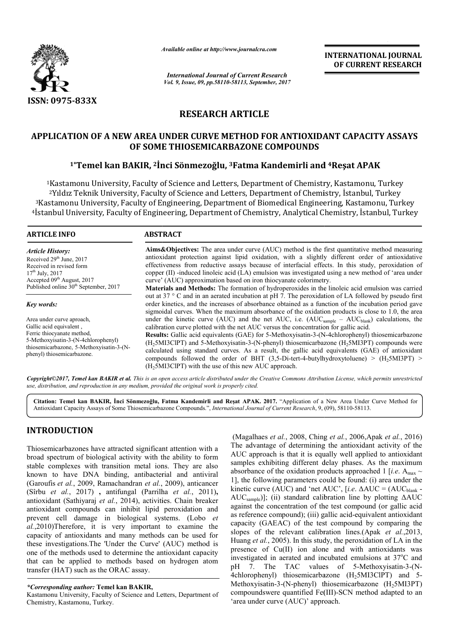

*Available online at http://www.journal http://www.journalcra.com*

*International Journal of Current Research Vol. 9, Issue, 09, pp.58110-58113, September, 2017* **INTERNATIONAL JOURNAL OF CURRENT RESEARCH** 

## **RESEARCH ARTICLE**

# **APPLICATION OF A NEW AREA UNDER CURVE METHOD FOR ANTIOXIDANT CAPACITY ASSAYS OF SOME THIOSEMICARBAZONE COMPOUNDS** rion of A NEW AREA UNDER CURVE METHOD FOR ANTIOXIDANT CAPACIT<br>OF SOME THIOSEMICARBAZONE COMPOUNDS<br><sup>1</sup>\*Temel kan BAKIR, <sup>2</sup>İnci Sönmezoğlu, <sup>3</sup>Fatma Kandemirli and <sup>4</sup>Reşat APAK

<sup>1</sup>Kastamonu University, Faculty of Science and Letters, Department of Chemistry, Kastamonu, Turkey 2Yıldız Teknik University, Faculty of Science and Letters, Department of Chemistry, İstanbul, Turkey 3Kastamonu University, Faculty of Engineering, Kastamonu, Turkey  $^4$ İstanbul University, Faculty of Engineering, Department of Chemistry, Analytical Chemistry, İstanbul, Turkey <sup>1</sup>Kastamonu University, Faculty of Science and Letters, Department of Chemistry, Ka<br><sup>2</sup>Yıldız Teknik University, Faculty of Science and Letters, Department of Chemistry,<br>Kastamonu University, Faculty of Engineering, Depar

#### **ARTICLE INFO ABSTRACT**

*Article History:* Received 29<sup>th</sup> June, 2017 Received in revised form 17th July, 2017 Accepted 09<sup>th</sup> August, 2017 Published online 30<sup>th</sup> September, 2017

*Key words:*

Area under curve aproach, Gallic acid equivalent , Ferric thiocyanate method, 5-Methoxyisatin-3-(N-4chlorophenyl) thiosemicarbazone, 5-Methoxyisatin-3-(Nphenyl) thiosemicarbazone.

**Aims&Objectives:**  The area under curve (AUC) method is the first quantitative method measuring antioxidant protection against lipid oxidation, with a slightly different order of antioxidative effectiveness from reductive assays because of interfacial effects. In this study, peroxidation of copper  $(II)$  -induced linoleic acid  $(LA)$  emulsion was investigated using a new method of 'area under curve' (AUC) approximation based on iron thiocyanate colorimetry. rve (AUC) method is the first quantitative method measuring<br>oxidation, with a slightly different order of antioxidative<br>because of interfacial effects. In this study, peroxidation of

**Materials and Methods:**  The formation of hydroperoxides in the linoleic acid emulsion was carried out at 37 ° C and in an aerated incubation at pH 7. The peroxidation of LA followed by pseudo first order kinetics, and the increases of absorbance obtained as a function of the incubation period gave sigmoidal curves. When the maximum absorbance of the oxidation products is close to 1.0, the area copper (II) -induced linoleic acid (LA) emulsion was investigated using a new method of 'area under<br>curve' (AUC) approximation based on iron thiocyanate colorimetry.<br>**Materials and Methods:** The formation of hydroperoxide calibration curve plotted with the net AUC versus the concentration for gallic acid.

**Results:** Gallic acid equivalents (GAE) for 5-Methoxyisatin-3-(N-4chlorophenyl) thiosemicarbazone  $(H<sub>2</sub>5MI3CIPT)$  and 5-Methoxyisatin-3-(N-phenyl) thiosemicarbazone  $(H<sub>2</sub>5MI3PT)$  compounds were calculated using standard curves. As a result, the gallic acid equivalents (GAE) of antioxidant calculated using standard curves. As a result, the gallic acid equivalents (GAE) of antioxidant compounds followed the order of BHT  $(3,5-Di\t-tert-4-butylhydroxytoluene) > (H<sub>2</sub>5MI3PT) >$  $(H<sub>2</sub>5MI3CIPT)$  with the use of this new AUC approach.

*Copyright©2017, Temel kan BAKIR et al. This is an open access article distributed under the Creative Commons Att Attribution License, which ribution permits unrestricted use, distribution, and reproduction in any medium, provided the original work is properly cited.*

Citation: Temel kan BAKIR, İnci Sönmezoğlu, Fatma Kandemirli and Reşat APAK. 2017. "Application of a New Area Under Curve Method for Antioxidant Capacity Assays of Some Thiosemicarbazone Compounds.", *International Journal of Current Research*, 9, (09), 58110-58113.

## **INTRODUCTION**

Thiosemicarbazones have attracted significant attention with a broad spectrum of biological activity with the ability to form stable complexes with transition metal ions. They are also known to have DNA binding, antibacterial and antiviral (Garoufis *et al.*, 2009, Ramachandran *et al.*, 2009), anticancer (Sîrbu *et al.*, 2017) **,** antifungal (Parrilha *et al.*, 2011)**,** antioxidant (Sathiyaraj *et al.*, 2014), activities. Chain breaker antioxidant compounds can inhibit lipid peroxidation and prevent cell damage in biological systems. stems. (Lobo *et al.*,2010)Therefore, it is very important to examine the capacity of antioxidants and many methods can be used for these investigations.The 'Under the Curve' (AUC) method is one of the methods used to determine the antioxidant capacity that can be applied to methods based on hydrogen atom transfer (HAT) such as the ORAC assay. (Magalhaes *et al.*, 2008, Ching<br>
icarbazones have attracted significant attention with a<br>
ectrum of biological activity with the ability to form<br>
mplexes with transition metal ions. They are also<br>
samples exhibiting diff

Kastamonu University, Faculty of Science and Letters, Department of Chemistry, Kastamonu, Turkey.

The advantage of determining the antioxidant activity of the AUC approach is that it is equally well applied to antioxidant samples exhibiting different delay phases. As the maximum absorbance of the oxidation products approached 1 [*i.e.*  $A_{max} \sim$ 1], the following parameters could be found: (i) area under the 1], the following parameters could be found: (i) area under the kinetic curve (AUC) and 'net AUC', [*i.e.* ΔAUC = (AUC<sub>blank</sub> -AUCsample)]; (ii) standard calibration line by plotting ΔAUC against the concentration of the test compound (or gallic acid as reference compound); (iii) gallic acid-equivalent antioxidant capacity (GAEAC) of the test compound by comparing the capacity (GAEAC) of the test compound by comparing the slopes of the relevant calibration lines.(Apak *et al.*,2013, Huang *et al.*, 2005). In this study, the peroxidation of LA in the presence of Cu(II) ion alone and with antioxidants was investigated in aerated and incubated emulsions at 37 C and pH 7. The TAC values of 5-Methoxyisatin-3-(N-4chlorophenyl) thiosemicarbazone (H<sub>2</sub>5MI3ClPT) and 5-Methoxyisatin-3-(N-phenyl) thiosemicarbazone  $(H_25M13PT)$ compoundswere quantified Fe(III)-SCN method adapted to an 'area under curve (AUC)' approach. *et al.*, 2006,Apak *et al.*, 2016) )]; (ii) standard calibration line by plotting  $\Delta AUC$  e concentration of the test compound (or gallic acid ce compound); (iii) gallic acid-equivalent antioxidant Huang *et al.*, 2005). In this study, the peroxidation of LA presence of Cu(II) ion alone and with antioxidant investigated in aerated and incubated emulsions at  $37^{\circ}$ **EXERCISE THE SECULAR SECULAR SECULAR SECULAR SECULAR SECULAR SECULAR SECULAR SECULAR SECULAR SECULAR SECULAR SECULAR SECULAR SECULAR SECULAR SECULAR SECULAR SECULAR SECULAR SECULAR SECULAR SECULAR SECULAR SECULAR SECULAR** 

*<sup>\*</sup>Corresponding author:* **Temel kan BAKIR,**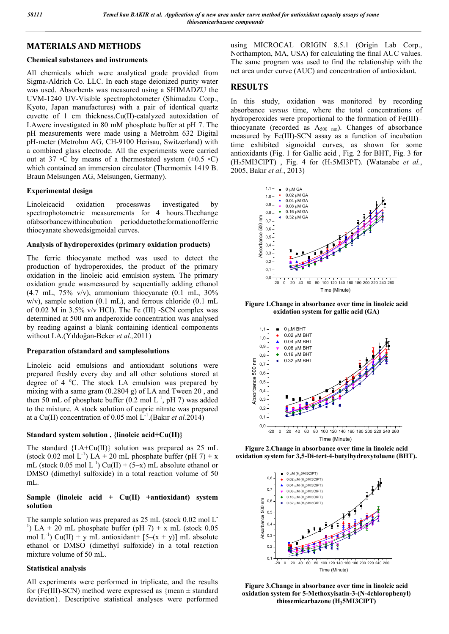## **MATERIALS AND METHODS**

#### **Chemical substances and instruments**

All chemicals which were analytical grade provided from Sigma-Aldrich Co. LLC. In each stage deionized purity water was used. Absorbents was measured using a SHIMADZU the UVM-1240 UV-Visible spectrophotometer (Shimadzu Corp., Kyoto, Japan manufactures) with a pair of identical quartz cuvette of 1 cm thickness.Cu(II)-catalyzed autoxidation of LAwere investigated in 80 mM phosphate buffer at pH 7. The pH measurements were made using a Metrohm 632 Digital pH-meter (Metrohm AG, CH-9100 Herisau, Switzerland) with a combined glass electrode. All the experiments were carried out at 37 ∘C by means of a thermostated system  $(\pm 0.5 \circ C)$ which contained an immersion circulator (Thermomix 1419 B. Braun Melsungen AG, Melsungen, Germany).

#### **Experimental design**

Linoleicacid oxidation processwas investigated by spectrophotometric measurements for 4 hours.Thechange ofabsorbancewithincubation periodduetotheformationofferric thiocyanate showedsigmoidal curves.

#### **Analysis of hydroperoxides (primary oxidation products)**

The ferric thiocyanate method was used to detect the production of hydroperoxides, the product of the primary oxidation in the linoleic acid emulsion system. The primary oxidation grade wasmeasured by sequentially adding ethanol  $(4.7 \text{ mL}, 75\% \text{ v/v})$ , ammonium thiocyanate  $(0.1 \text{ mL}, 30\%$ w/v), sample solution (0.1 mL), and ferrous chloride (0.1 mL of 0.02 M in  $3.5\%$  v/v HCl). The Fe (III) -SCN complex was determined at 500 nm andperoxide concentration was analysed by reading against a blank containing identical components without LA.(Yıldoğan-Beker *et al.,*2011)

#### **Preparation ofstandard and samplesolutions**

Linoleic acid emulsions and antioxidant solutions were prepared freshly every day and all other solutions stored at degree of 4 °C. The stock LA emulsion was prepared by mixing with a same gram (0.2804 g) of LA and Tween 20 , and then 50 mL of phosphate buffer  $(0.2 \text{ mol L}^{-1}, \text{pH 7})$  was added to the mixture. A stock solution of cupric nitrate was prepared at a Cu(II) concentration of 0.05 mol  $L^{-1}$ . (Bakir *et al.* 2014)

#### **Standard system solution , {linoleic acid+Cu(II)}**

The standard  ${LA+Cu(II)}$  solution was prepared as 25 mL (stock 0.02 mol L<sup>-1</sup>) LA + 20 mL phosphate buffer (pH 7) + x mL (stock 0.05 mol  $L^{-1}$ ) Cu(II) + (5-x) mL absolute ethanol or DMSO (dimethyl sulfoxide) in a total reaction volume of 50 mL.

#### **Sample (linoleic acid + Cu(II) +antioxidant) system solution**

The sample solution was prepared as 25 mL (stock 0.02 mol L<sup>-</sup> <sup>1</sup>) LA + 20 mL phosphate buffer (pH 7) + x mL (stock 0.05 mol  $L^{-1}$ ) Cu(II) + y mL antioxidant+ [5–(x + y)] mL absolute ethanol or DMSO (dimethyl sulfoxide) in a total reaction mixture volume of 50 mL.

#### **Statistical analysis**

All experiments were performed in triplicate, and the results for (Fe(III)-SCN) method were expressed as  ${mean \pm standard}$ deviation}. Descriptive statistical analyses were performed using MICROCAL ORIGIN 8.5.1 (Origin Lab Corp., Northampton, MA, USA) for calculating the final AUC values. The same program was used to find the relationship with the net area under curve (AUC) and concentration of antioxidant.

## **RESULTS**

In this study, oxidation was monitored by recording absorbance *versus* time, where the total concentrations of hydroperoxides were proportional to the formation of Fe(III)– thiocyanate (recorded as  $A_{500 \text{ nm}}$ ). Changes of absorbance measured by Fe(III)-SCN assay as a function of incubation time exhibited sigmoidal curves, as shown for some antioxidants (Fig. 1 for Gallic acid , Fig. 2 for BHT, Fig. 3 for (H25MI3ClPT) , Fig. 4 for (H25MI3PT). (Watanabe *et al.*, 2005, Bakır *et al.*, 2013)



**Figure 1.Change in absorbance over time in linoleic acid oxidation system for gallic acid (GA)**



**Figure 2.Change in absorbance over time in linoleic acid oxidation system for 3,5-Di-tert-4-butylhydroxytoluene (BHT).**



**Figure 3.Change in absorbance over time in linoleic acid oxidation system for 5-Methoxyisatin-3-(N-4chlorophenyl) thiosemicarbazone (H25MI3ClPT)**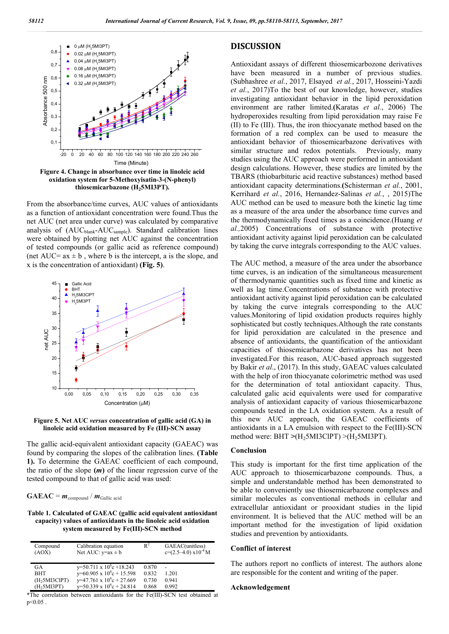

**thiosemicarbazone (H25MI3PT).**

From the absorbance/time curves, AUC values of antioxidants as a function of antioxidant concentration were found.Thus the net AUC (net area under curve) was calculated by comparative analysis of (AUC<sub>blank</sub>-AUC<sub>sample</sub>). Standard calibration lines were obtained by plotting net AUC against the concentration of tested compounds (or gallic acid as reference compound) (net AUC=  $ax \pm b$ , where b is the intercept, a is the slope, and x is the concentration of antioxidant) **(Fig. 5)**.



**Figure 5. Net AUC** *versus* **concentration of gallic acid (GA) in linoleic acid oxidation measured by Fe (III)-SCN assay**

The gallic acid-equivalent antioxidant capacity (GAEAC) was found by comparing the slopes of the calibration lines. **(Table 1).** To determine the GAEAC coefficient of each compound, the ratio of the slope  $(m)$  of the linear regression curve of the tested compound to that of gallic acid was used:

 $GAEAC = m_{\text{compound}} / m_{\text{Gallic acid}}$ 

#### **Table 1. Calculated of GAEAC (gallic acid equivalent antioxidant capacity) values of antioxidants in the linoleic acid oxidation system measured by Fe(III)-SCN method**

| Compound<br>(AOX)         | Calibration equation<br>Net AUC: $y=ax \pm b$ | $\mathbb{R}^2$ | GAEAC(unitless)<br>$c=(2.5-4.0)$ x $10^{-4}$ M |
|---------------------------|-----------------------------------------------|----------------|------------------------------------------------|
| GA                        | $y=50.711 \times 10^{6}c + 18.243$            | 0.870          |                                                |
| <b>BHT</b>                | y=60.905 x $10^{6}$ c + 15.598                | 0.832          | 1.201                                          |
| (H <sub>2</sub> 5MI3CIPT) | $y=47.761 \times 10^{6}c + 27.669$            | 0.730          | 0.941                                          |
| (H <sub>2</sub> 5MI3PT)   | $y=50.339 \times 10^{6}c + 24.814$            | 0.868          | 0.992                                          |

\*The correlation between antioxidants for the Fe(III)-SCN test obtained at  $p \le 0.05$ .

### **DISCUSSION**

Antioxidant assays of different thiosemicarbozone derivatives have been measured in a number of previous studies. (Subhashree *et al.*, 2017, Elsayed *et al.*, 2017, Hosseini-Yazdi *et al.*, 2017)To the best of our knowledge, however, studies investigating antioxidant behavior in the lipid peroxidation environment are rather limited.**(**Karatas *et al.*, 2006) The hydroperoxides resulting from lipid peroxidation may raise Fe (II) to Fe (III). Thus, the iron thiocyanate method based on the formation of a red complex can be used to measure the antioxidant behavior of thiosemicarbazone derivatives with similar structure and redox potentials. Previously, many studies using the AUC approach were performed in antioxidant design calculations. However, these studies are limited by the TBARS (thiobarbituric acid reactive substances) method based antioxidant capacity determinations.**(**Schisterman *et al.*, 2001, Kerrihard *et al.*, 2016, Hernandez-Salinas *et al.*, , 2015)The AUC method can be used to measure both the kinetic lag time as a measure of the area under the absorbance time curves and the thermodynamically fixed times as a coincidence.(Huang *et al.,*2005) Concentrations of substance with protective antioxidant activity against lipid peroxidation can be calculated by taking the curve integrals corresponding to the AUC values.

The AUC method, a measure of the area under the absorbance time curves, is an indication of the simultaneous measurement of thermodynamic quantities such as fixed time and kinetic as well as lag time.Concentrations of substance with protective antioxidant activity against lipid peroxidation can be calculated by taking the curve integrals corresponding to the AUC values.Monitoring of lipid oxidation products requires highly sophisticated but costly techniques.Although the rate constants for lipid peroxidation are calculated in the presence and absence of antioxidants, the quantification of the antioxidant capacities of thiosemicarbazone derivatives has not been investigated.For this reason, AUC-based approach suggested by Bakir *et al*., (2017). In this study, GAEAC values calculated with the help of iron thiocyanate colorimetric method was used for the determination of total antioxidant capacity. Thus, calculated galic acid equivalents were used for comparative analysis of antioxidant capacity of various thiosemicarbazone compounds tested in the LA oxidation system. As a result of this new AUC approach, the GAEAC coefficients of antioxidants in a LA emulsion with respect to the Fe(III)-SCN method were: BHT >(H<sub>2</sub>5MI3ClPT) >(H<sub>2</sub>5MI3PT).

### **Conclusion**

This study is important for the first time application of the AUC approach to thiosemicarbazone compounds. Thus, a simple and understandable method has been demonstrated to be able to conveniently use thiosemicarbazone complexes and similar molecules as conventional methods in cellular and extracellular antioxidant or prooxidant studies in the lipid environment. It is believed that the AUC method will be an important method for the investigation of lipid oxidation studies and prevention by antioxidants.

#### **Conflict of interest**

The authors report no conflicts of interest. The authors alone are responsible for the content and writing of the paper.

#### **Acknowledgement**